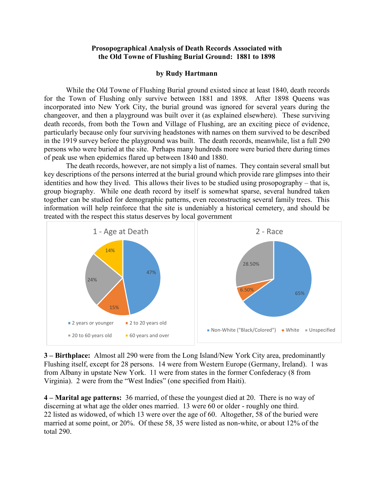## **Prosopographical Analysis of Death Records Associated with the Old Towne of Flushing Burial Ground: 1881 to 1898**

## **by Rudy Hartmann**

While the Old Towne of Flushing Burial ground existed since at least 1840, death records for the Town of Flushing only survive between 1881 and 1898. After 1898 Queens was incorporated into New York City, the burial ground was ignored for several years during the changeover, and then a playground was built over it (as explained elsewhere). These surviving death records, from both the Town and Village of Flushing, are an exciting piece of evidence, particularly because only four surviving headstones with names on them survived to be described in the 1919 survey before the playground was built. The death records, meanwhile, list a full 290 persons who were buried at the site. Perhaps many hundreds more were buried there during times of peak use when epidemics flared up between 1840 and 1880.

The death records, however, are not simply a list of names. They contain several small but key descriptions of the persons interred at the burial ground which provide rare glimpses into their identities and how they lived. This allows their lives to be studied using prosopography – that is, group biography. While one death record by itself is somewhat sparse, several hundred taken together can be studied for demographic patterns, even reconstructing several family trees. This information will help reinforce that the site is undeniably a historical cemetery, and should be treated with the respect this status deserves by local government



**3 – Birthplace:** Almost all 290 were from the Long Island/New York City area, predominantly Flushing itself, except for 28 persons. 14 were from Western Europe (Germany, Ireland). 1 was from Albany in upstate New York. 11 were from states in the former Confederacy (8 from Virginia). 2 were from the "West Indies" (one specified from Haiti).

**4 – Marital age patterns:** 36 married, of these the youngest died at 20. There is no way of discerning at what age the older ones married. 13 were 60 or older - roughly one third. 22 listed as widowed, of which 13 were over the age of 60. Altogether, 58 of the buried were married at some point, or 20%. Of these 58, 35 were listed as non-white, or about 12% of the total 290.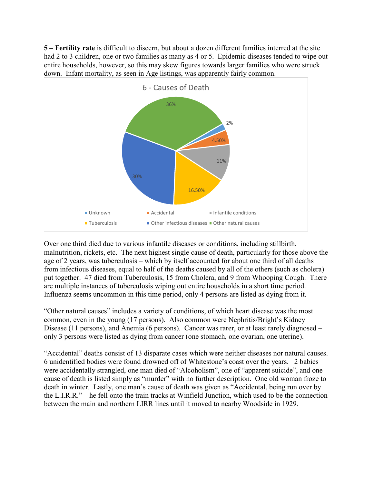**5 – Fertility rate** is difficult to discern, but about a dozen different families interred at the site had 2 to 3 children, one or two families as many as 4 or 5. Epidemic diseases tended to wipe out entire households, however, so this may skew figures towards larger families who were struck down. Infant mortality, as seen in Age listings, was apparently fairly common.



Over one third died due to various infantile diseases or conditions, including stillbirth, malnutrition, rickets, etc. The next highest single cause of death, particularly for those above the age of 2 years, was tuberculosis – which by itself accounted for about one third of all deaths from infectious diseases, equal to half of the deaths caused by all of the others (such as cholera) put together. 47 died from Tuberculosis, 15 from Cholera, and 9 from Whooping Cough. There are multiple instances of tuberculosis wiping out entire households in a short time period. Influenza seems uncommon in this time period, only 4 persons are listed as dying from it.

"Other natural causes" includes a variety of conditions, of which heart disease was the most common, even in the young (17 persons). Also common were Nephritis/Bright's Kidney Disease (11 persons), and Anemia (6 persons). Cancer was rarer, or at least rarely diagnosed – only 3 persons were listed as dying from cancer (one stomach, one ovarian, one uterine).

"Accidental" deaths consist of 13 disparate cases which were neither diseases nor natural causes. 6 unidentified bodies were found drowned off of Whitestone's coast over the years. 2 babies were accidentally strangled, one man died of "Alcoholism", one of "apparent suicide", and one cause of death is listed simply as "murder" with no further description. One old woman froze to death in winter. Lastly, one man's cause of death was given as "Accidental, being run over by the L.I.R.R." – he fell onto the train tracks at Winfield Junction, which used to be the connection between the main and northern LIRR lines until it moved to nearby Woodside in 1929.